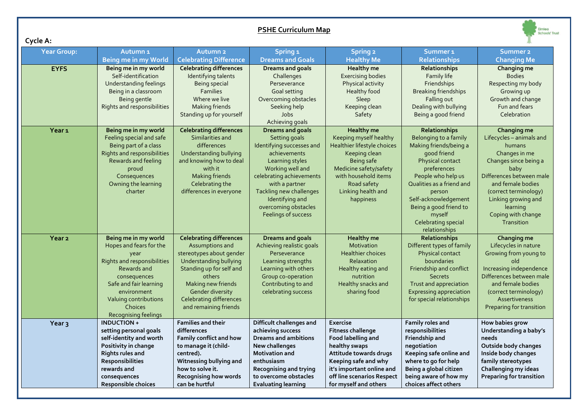| Cycle A:           |                                                                                                                                                                                                                            |                                                                                                                                                                                                                                                                  | <b>PSHE Curriculum Map</b>                                                                                                                                                                                                                                              |                                                                                                                                                                                                                   |                                                                                                                                                                                                                                                                                     | Elmlea<br><b>Schools' Trus</b>                                                                                                                                                                                                                       |
|--------------------|----------------------------------------------------------------------------------------------------------------------------------------------------------------------------------------------------------------------------|------------------------------------------------------------------------------------------------------------------------------------------------------------------------------------------------------------------------------------------------------------------|-------------------------------------------------------------------------------------------------------------------------------------------------------------------------------------------------------------------------------------------------------------------------|-------------------------------------------------------------------------------------------------------------------------------------------------------------------------------------------------------------------|-------------------------------------------------------------------------------------------------------------------------------------------------------------------------------------------------------------------------------------------------------------------------------------|------------------------------------------------------------------------------------------------------------------------------------------------------------------------------------------------------------------------------------------------------|
| <b>Year Group:</b> | Autumn <sub>1</sub>                                                                                                                                                                                                        | <b>Autumn 2</b>                                                                                                                                                                                                                                                  | Spring 1                                                                                                                                                                                                                                                                | <b>Spring 2</b>                                                                                                                                                                                                   | Summer <sub>1</sub>                                                                                                                                                                                                                                                                 | Summer <sub>2</sub>                                                                                                                                                                                                                                  |
|                    | <b>Being me in my World</b>                                                                                                                                                                                                | <b>Celebrating Difference</b>                                                                                                                                                                                                                                    | <b>Dreams and Goals</b>                                                                                                                                                                                                                                                 | <b>Healthy Me</b>                                                                                                                                                                                                 | <b>Relationships</b>                                                                                                                                                                                                                                                                | <b>Changing Me</b>                                                                                                                                                                                                                                   |
| <b>EYFS</b>        | Being me in my world<br>Self-identification<br><b>Understanding feelings</b><br>Being in a classroom<br>Being gentle<br>Rights and responsibilities                                                                        | <b>Celebrating differences</b><br>Identifying talents<br>Being special<br><b>Families</b><br>Where we live<br><b>Making friends</b><br>Standing up for yourself                                                                                                  | <b>Dreams and goals</b><br>Challenges<br>Perseverance<br>Goal setting<br>Overcoming obstacles<br>Seeking help<br>Jobs<br>Achieving goals                                                                                                                                | Healthy me<br><b>Exercising bodies</b><br>Physical activity<br>Healthy food<br>Sleep<br>Keeping clean<br>Safety                                                                                                   | Relationships<br>Family life<br>Friendships<br><b>Breaking friendships</b><br>Falling out<br>Dealing with bullying<br>Being a good friend                                                                                                                                           | Changing me<br><b>Bodies</b><br>Respecting my body<br>Growing up<br>Growth and change<br>Fun and fears<br>Celebration                                                                                                                                |
| Year <sub>1</sub>  | Being me in my world<br>Feeling special and safe<br>Being part of a class<br>Rights and responsibilities<br>Rewards and feeling<br>proud<br>Consequences<br>Owning the learning<br>charter                                 | <b>Celebrating differences</b><br>Similarities and<br>differences<br><b>Understanding bullying</b><br>and knowing how to deal<br>with it<br><b>Making friends</b><br>Celebrating the<br>differences in everyone                                                  | <b>Dreams and goals</b><br>Setting goals<br>Identifying successes and<br>achievements<br>Learning styles<br>Working well and<br>celebrating achievements<br>with a partner<br>Tackling new challenges<br>Identifying and<br>overcoming obstacles<br>Feelings of success | <b>Healthy</b> me<br>Keeping myself healthy<br>Healthier lifestyle choices<br>Keeping clean<br>Being safe<br>Medicine safety/safety<br>with household items<br>Road safety<br>Linking health and<br>happiness     | Relationships<br>Belonging to a family<br>Making friends/being a<br>good friend<br>Physical contact<br>preferences<br>People who help us<br>Qualities as a friend and<br>person<br>Self-acknowledgement<br>Being a good friend to<br>myself<br>Celebrating special<br>relationships | Changing me<br>Lifecycles - animals and<br>humans<br>Changes in me<br>Changes since being a<br>baby<br>Differences between male<br>and female bodies<br>(correct terminology)<br>Linking growing and<br>learning<br>Coping with change<br>Transition |
| Year <sub>2</sub>  | Being me in my world<br>Hopes and fears for the<br>year<br>Rights and responsibilities<br>Rewards and<br>consequences<br>Safe and fair learning<br>environment<br>Valuing contributions<br>Choices<br>Recognising feelings | <b>Celebrating differences</b><br>Assumptions and<br>stereotypes about gender<br><b>Understanding bullying</b><br>Standing up for self and<br>others<br>Making new friends<br><b>Gender diversity</b><br><b>Celebrating differences</b><br>and remaining friends | <b>Dreams and goals</b><br>Achieving realistic goals<br>Perseverance<br>Learning strengths<br>Learning with others<br>Group co-operation<br>Contributing to and<br>celebrating success                                                                                  | <b>Healthy</b> me<br>Motivation<br><b>Healthier choices</b><br>Relaxation<br>Healthy eating and<br>nutrition<br>Healthy snacks and<br>sharing food                                                                | <b>Relationships</b><br>Different types of family<br>Physical contact<br>boundaries<br>Friendship and conflict<br><b>Secrets</b><br>Trust and appreciation<br><b>Expressing appreciation</b><br>for special relationships                                                           | Changing me<br>Lifecycles in nature<br>Growing from young to<br>old<br>Increasing independence<br>Differences between male<br>and female bodies<br>(correct terminology)<br>Assertiveness<br>Preparing for transition                                |
| Year <sub>3</sub>  | <b>INDUCTION+</b><br>setting personal goals<br>self-identity and worth<br>Positivity in change<br><b>Rights rules and</b><br>Responsibilities<br>rewards and<br>consequences<br>Responsible choices                        | <b>Families and their</b><br>differences<br>Family conflict and how<br>to manage it (child-<br>centred).<br>Witnessing bullying and<br>how to solve it.<br><b>Recognising how words</b><br>can be hurtful                                                        | Difficult challenges and<br>achieving success<br>Dreams and ambitions<br>New challenges<br>Motivation and<br>enthusiasm<br><b>Recognising and trying</b><br>to overcome obstacles<br><b>Evaluating learning</b>                                                         | Exercise<br><b>Fitness challenge</b><br>Food labelling and<br>healthy swaps<br>Attitude towards drugs<br>Keeping safe and why<br>it's important online and<br>off line scenarios Respect<br>for myself and others | Family roles and<br>responsibilities<br>Friendship and<br>negotiation<br>Keeping safe online and<br>where to go for help<br>Being a global citizen<br>being aware of how my<br>choices affect others                                                                                | How babies grow<br>Understanding a baby's<br>needs<br>Outside body changes<br>Inside body changes<br>family stereotypes<br>Challenging my ideas<br><b>Preparing for transition</b>                                                                   |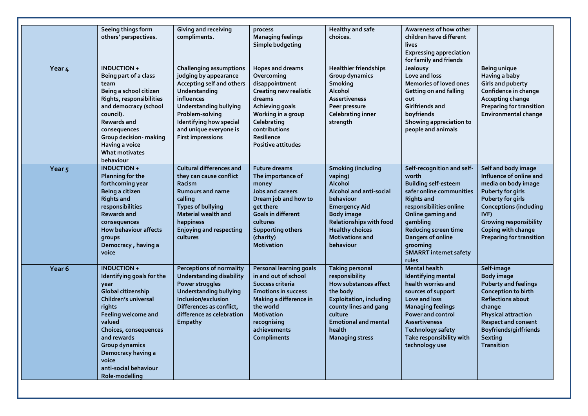|                   | Seeing things form<br>others' perspectives.                                                                                                                                                                                                                                                | Giving and receiving<br>compliments.                                                                                                                                                                                                                     | process<br><b>Managing feelings</b><br>Simple budgeting                                                                                                                                                            | <b>Healthy and safe</b><br>choices.                                                                                                                                                                                                     | Awareness of how other<br>children have different<br>lives<br><b>Expressing appreciation</b><br>for family and friends                                                                                                                                                             |                                                                                                                                                                                                                                                           |
|-------------------|--------------------------------------------------------------------------------------------------------------------------------------------------------------------------------------------------------------------------------------------------------------------------------------------|----------------------------------------------------------------------------------------------------------------------------------------------------------------------------------------------------------------------------------------------------------|--------------------------------------------------------------------------------------------------------------------------------------------------------------------------------------------------------------------|-----------------------------------------------------------------------------------------------------------------------------------------------------------------------------------------------------------------------------------------|------------------------------------------------------------------------------------------------------------------------------------------------------------------------------------------------------------------------------------------------------------------------------------|-----------------------------------------------------------------------------------------------------------------------------------------------------------------------------------------------------------------------------------------------------------|
| Year 4            | INDUCTION+<br>Being part of a class<br>team<br>Being a school citizen<br>Rights, responsibilities<br>and democracy (school<br>council).<br>Rewards and<br>consequences<br>Group decision- making<br>Having a voice<br><b>What motivates</b><br>behaviour                                   | <b>Challenging assumptions</b><br>judging by appearance<br>Accepting self and others<br>Understanding<br>influences<br><b>Understanding bullying</b><br>Problem-solving<br>Identifying how special<br>and unique everyone is<br><b>First impressions</b> | Hopes and dreams<br>Overcoming<br>disappointment<br>Creating new realistic<br>dreams<br>Achieving goals<br>Working in a group<br>Celebrating<br>contributions<br>Resilience<br><b>Positive attitudes</b>           | <b>Healthier friendships</b><br>Group dynamics<br>Smoking<br>Alcohol<br><b>Assertiveness</b><br>Peer pressure<br>Celebrating inner<br>strength                                                                                          | <b>Jealousy</b><br>Love and loss<br><b>Memories of loved ones</b><br>Getting on and falling<br>out<br>Girlfriends and<br>boyfriends<br>Showing appreciation to<br>people and animals                                                                                               | <b>Being unique</b><br>Having a baby<br><b>Girls and puberty</b><br>Confidence in change<br>Accepting change<br><b>Preparing for transition</b><br><b>Environmental change</b>                                                                            |
| Year <sub>5</sub> | <b>INDUCTION+</b><br><b>Planning for the</b><br>forthcoming year<br>Being a citizen<br><b>Rights and</b><br>responsibilities<br><b>Rewards and</b><br>consequences<br><b>How behaviour affects</b><br>groups<br>Democracy, having a<br>voice                                               | <b>Cultural differences and</b><br>they can cause conflict<br>Racism<br><b>Rumours and name</b><br>calling<br><b>Types of bullying</b><br><b>Material wealth and</b><br>happiness<br><b>Enjoying and respecting</b><br>cultures                          | <b>Future dreams</b><br>The importance of<br>money<br>Jobs and careers<br>Dream job and how to<br>get there<br><b>Goals in different</b><br>cultures<br><b>Supporting others</b><br>(charity)<br><b>Motivation</b> | <b>Smoking (including</b><br>vaping)<br>Alcohol<br>Alcohol and anti-social<br>behaviour<br><b>Emergency Aid</b><br><b>Body image</b><br><b>Relationships with food</b><br><b>Healthy choices</b><br><b>Motivations and</b><br>behaviour | Self-recognition and self-<br>worth<br><b>Building self-esteem</b><br>safer online communities<br><b>Rights and</b><br>responsibilities online<br>Online gaming and<br>gambling<br>Reducing screen time<br>Dangers of online<br>grooming<br><b>SMARRT</b> internet safety<br>rules | Self and body image<br>Influence of online and<br>media on body image<br><b>Puberty for girls</b><br>Puberty for girls<br><b>Conceptions (including</b><br>IVF)<br><b>Growing responsibility</b><br>Coping with change<br><b>Preparing for transition</b> |
| Year <sub>6</sub> | <b>INDUCTION+</b><br>Identifying goals for the<br>year<br>Global citizenship<br>Children's universal<br>rights<br>Feeling welcome and<br>valued<br>Choices, consequences<br>and rewards<br><b>Group dynamics</b><br>Democracy having a<br>voice<br>anti-social behaviour<br>Role-modelling | <b>Perceptions of normality</b><br><b>Understanding disability</b><br>Power struggles<br><b>Understanding bullying</b><br>Inclusion/exclusion<br>Differences as conflict,<br>difference as celebration<br>Empathy                                        | <b>Personal learning goals</b><br>in and out of school<br>Success criteria<br><b>Emotions in success</b><br>Making a difference in<br>the world<br><b>Motivation</b><br>recognising<br>achievements<br>Compliments | <b>Taking personal</b><br>responsibility<br>How substances affect<br>the body<br><b>Exploitation, including</b><br>county lines and gang<br>culture<br><b>Emotional and mental</b><br>health<br><b>Managing stress</b>                  | <b>Mental health</b><br>Identifying mental<br>health worries and<br>sources of support<br>Love and loss<br><b>Managing feelings</b><br><b>Power and control</b><br><b>Assertiveness</b><br><b>Technology safety</b><br>Take responsibility with<br>technology use                  | Self-image<br><b>Body image</b><br><b>Puberty and feelings</b><br>Conception to birth<br><b>Reflections about</b><br>change<br><b>Physical attraction</b><br><b>Respect and consent</b><br>Boyfriends/girlfriends<br>Sexting<br><b>Transition</b>         |